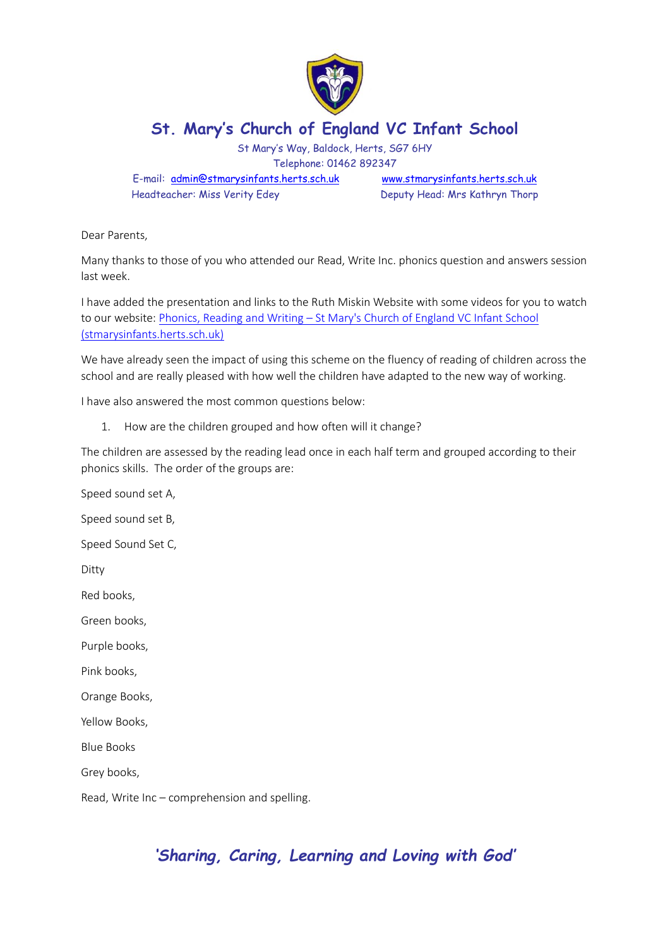

## **St. Mary's Church of England VC Infant School**

St Mary's Way, Baldock, Herts, SG7 6HY Telephone: 01462 892347

E-mail: [admin@stmarysinfants.herts.sch.uk](mailto:admin@stmarysinfants.herts.sch.uk) [www.stmarysinfants.herts.sch.uk](http://www.stmarysinfants.herts.sch.uk/) Headteacher: Miss Verity Edey Deputy Head: Mrs Kathryn Thorp

Dear Parents,

Many thanks to those of you who attended our Read, Write Inc. phonics question and answers session last week.

I have added the presentation and links to the Ruth Miskin Website with some videos for you to watch to our website: Phonics, Reading and Writing – [St Mary's Church of England VC Infant School](https://stmarysinfants.herts.sch.uk/children/curriculum/curriculum-overviews/phonics/)  [\(stmarysinfants.herts.sch.uk\)](https://stmarysinfants.herts.sch.uk/children/curriculum/curriculum-overviews/phonics/)

We have already seen the impact of using this scheme on the fluency of reading of children across the school and are really pleased with how well the children have adapted to the new way of working.

I have also answered the most common questions below:

1. How are the children grouped and how often will it change?

The children are assessed by the reading lead once in each half term and grouped according to their phonics skills. The order of the groups are:

Speed sound set A, Speed sound set B, Speed Sound Set C, Ditty Red books, Green books, Purple books, Pink books, Orange Books, Yellow Books, Blue Books

Grey books,

Read, Write Inc – comprehension and spelling.

## *'Sharing, Caring, Learning and Loving with God'*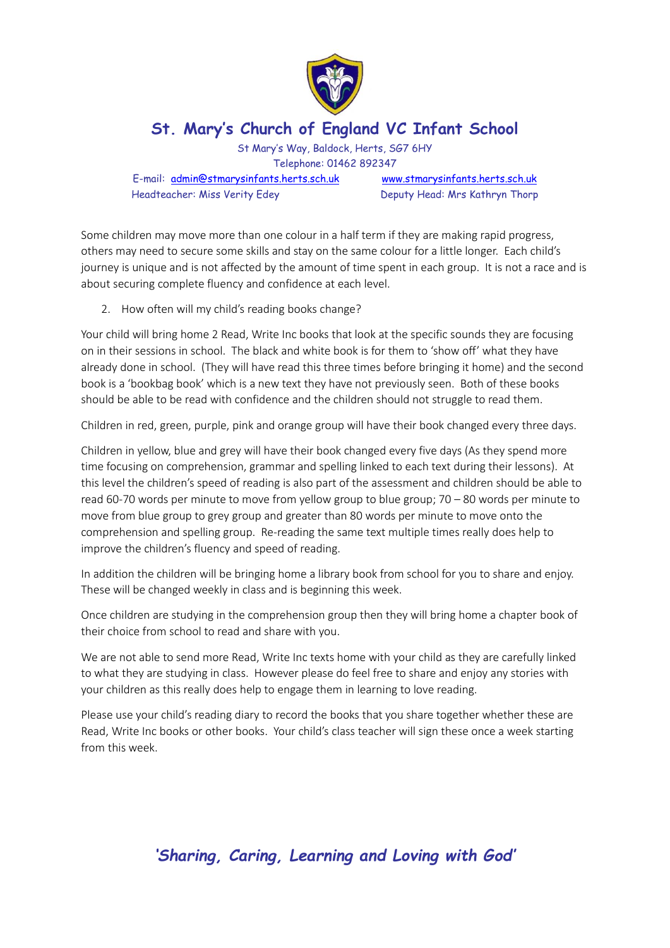

## **St. Mary's Church of England VC Infant School**

St Mary's Way, Baldock, Herts, SG7 6HY Telephone: 01462 892347

E-mail: [admin@stmarysinfants.herts.sch.uk](mailto:admin@stmarysinfants.herts.sch.uk) [www.stmarysinfants.herts.sch.uk](http://www.stmarysinfants.herts.sch.uk/) Headteacher: Miss Verity Edey Deputy Head: Mrs Kathryn Thorp

Some children may move more than one colour in a half term if they are making rapid progress, others may need to secure some skills and stay on the same colour for a little longer. Each child's journey is unique and is not affected by the amount of time spent in each group. It is not a race and is about securing complete fluency and confidence at each level.

2. How often will my child's reading books change?

Your child will bring home 2 Read, Write Inc books that look at the specific sounds they are focusing on in their sessions in school. The black and white book is for them to 'show off' what they have already done in school. (They will have read this three times before bringing it home) and the second book is a 'bookbag book' which is a new text they have not previously seen. Both of these books should be able to be read with confidence and the children should not struggle to read them.

Children in red, green, purple, pink and orange group will have their book changed every three days.

Children in yellow, blue and grey will have their book changed every five days (As they spend more time focusing on comprehension, grammar and spelling linked to each text during their lessons). At this level the children's speed of reading is also part of the assessment and children should be able to read 60-70 words per minute to move from yellow group to blue group; 70 – 80 words per minute to move from blue group to grey group and greater than 80 words per minute to move onto the comprehension and spelling group. Re-reading the same text multiple times really does help to improve the children's fluency and speed of reading.

In addition the children will be bringing home a library book from school for you to share and enjoy. These will be changed weekly in class and is beginning this week.

Once children are studying in the comprehension group then they will bring home a chapter book of their choice from school to read and share with you.

We are not able to send more Read, Write Inc texts home with your child as they are carefully linked to what they are studying in class. However please do feel free to share and enjoy any stories with your children as this really does help to engage them in learning to love reading.

Please use your child's reading diary to record the books that you share together whether these are Read, Write Inc books or other books. Your child's class teacher will sign these once a week starting from this week.

*'Sharing, Caring, Learning and Loving with God'*